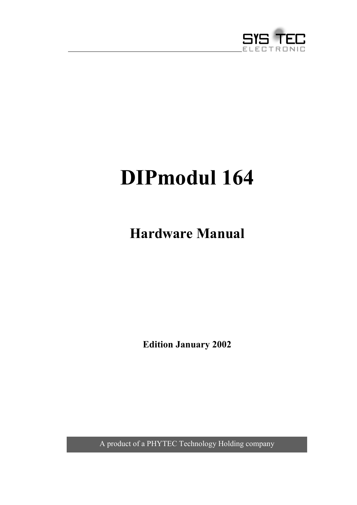

# **DIPmodul 164**

**Hardware Manual**

**Edition January 2002**

A product of a PHYTEC Technology Holding company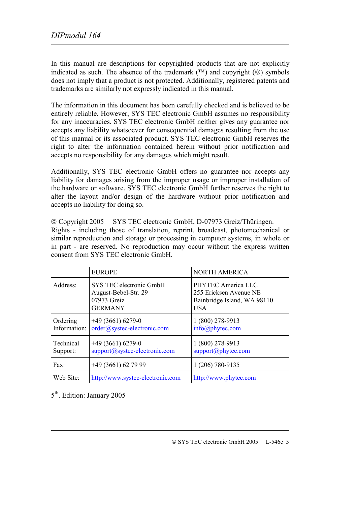In this manual are descriptions for copyrighted products that are not explicitly indicated as such. The absence of the trademark  $(\mathbb{T}^M)$  and copyright  $(\mathbb{O})$  symbols does not imply that a product is not protected. Additionally, registered patents and trademarks are similarly not expressly indicated in this manual.

The information in this document has been carefully checked and is believed to be entirely reliable. However, SYS TEC electronic GmbH assumes no responsibility for any inaccuracies. SYS TEC electronic GmbH neither gives any guarantee nor accepts any liability whatsoever for consequential damages resulting from the use of this manual or its associated product. SYS TEC electronic GmbH reserves the right to alter the information contained herein without prior notification and accepts no responsibility for any damages which might result.

Additionally, SYS TEC electronic GmbH offers no guarantee nor accepts any liability for damages arising from the improper usage or improper installation of the hardware or software. SYS TEC electronic GmbH further reserves the right to alter the layout and/or design of the hardware without prior notification and accepts no liability for doing so.

 Copyright 2005 SYS TEC electronic GmbH, D-07973 Greiz/Thüringen. Rights - including those of translation, reprint, broadcast, photomechanical or similar reproduction and storage or processing in computer systems, in whole or in part - are reserved. No reproduction may occur without the express written consent from SYS TEC electronic GmbH.

|                          | <b>EUROPE</b>                                                                    | <b>NORTH AMERICA</b>                                                                      |
|--------------------------|----------------------------------------------------------------------------------|-------------------------------------------------------------------------------------------|
| Address:                 | SYS TEC electronic GmbH<br>August-Bebel-Str. 29<br>07973 Greiz<br><b>GERMANY</b> | PHYTEC America LLC<br>255 Ericksen Avenue NE<br>Bainbridge Island, WA 98110<br><b>USA</b> |
| Ordering<br>Information: | $+49(3661)6279-0$<br>order@systec-electronic.com                                 | 1 (800) 278-9913<br>info@phytec.com                                                       |
| Technical<br>Support:    | $+49(3661)6279-0$<br>support@systec-electronic.com                               | 1 (800) 278-9913<br>support@phytec.com                                                    |
| $\text{Fax}:$            | +49 (3661) 62 79 99                                                              | 1 (206) 780-9135                                                                          |
| Web Site:                | http://www.systec-electronic.com                                                 | http://www.phytec.com                                                                     |

5th. Edition: January 2005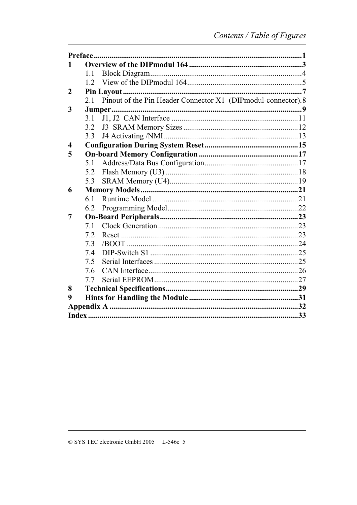|                         | 1.1 |                                                                  |  |
|-------------------------|-----|------------------------------------------------------------------|--|
|                         |     |                                                                  |  |
| $\boldsymbol{2}$        |     |                                                                  |  |
|                         |     | 2.1 Pinout of the Pin Header Connector X1 (DIPmodul-connector).8 |  |
| 3                       |     |                                                                  |  |
|                         | 3.1 |                                                                  |  |
|                         | 3.2 |                                                                  |  |
|                         | 3.3 |                                                                  |  |
| $\overline{\mathbf{4}}$ |     |                                                                  |  |
| 5                       |     |                                                                  |  |
|                         | 5.1 |                                                                  |  |
|                         | 5.2 |                                                                  |  |
|                         | 5.3 |                                                                  |  |
| 6                       |     |                                                                  |  |
|                         | 6.1 |                                                                  |  |
|                         | 6.2 |                                                                  |  |
| 7                       |     |                                                                  |  |
|                         | 7.1 |                                                                  |  |
|                         | 7.2 |                                                                  |  |
|                         | 7.3 |                                                                  |  |
|                         | 7.4 |                                                                  |  |
|                         | 7.5 |                                                                  |  |
|                         | 7.6 |                                                                  |  |
|                         | 7.7 |                                                                  |  |
| 8                       |     |                                                                  |  |
| 9                       |     |                                                                  |  |
|                         |     |                                                                  |  |
|                         |     |                                                                  |  |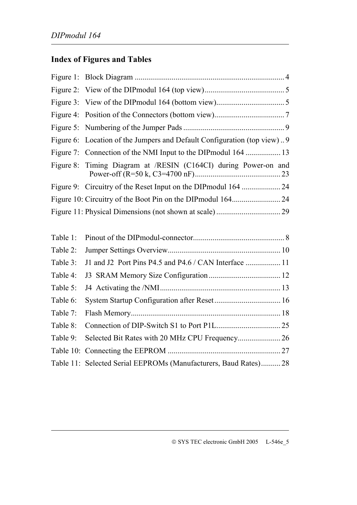# **Index of Figures and Tables**

| Figure 6: Location of the Jumpers and Default Configuration (top view)9 |
|-------------------------------------------------------------------------|
|                                                                         |
| Figure 8: Timing Diagram at /RESIN (C164CI) during Power-on and         |
|                                                                         |
|                                                                         |
|                                                                         |

| Table 2: |                                                                 |  |
|----------|-----------------------------------------------------------------|--|
| Table 3: |                                                                 |  |
| Table 4: |                                                                 |  |
| Table 5: |                                                                 |  |
| Table 6: |                                                                 |  |
| Table 7: |                                                                 |  |
| Table 8: |                                                                 |  |
|          |                                                                 |  |
|          |                                                                 |  |
|          | Table 11: Selected Serial EEPROMs (Manufacturers, Baud Rates)28 |  |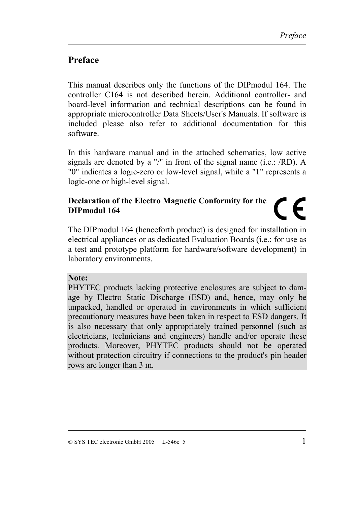## <span id="page-4-0"></span>**Preface**

This manual describes only the functions of the DIPmodul 164. The controller C164 is not described herein. Additional controller- and board-level information and technical descriptions can be found in appropriate microcontroller Data Sheets/User's Manuals. If software is included please also refer to additional documentation for this software.

In this hardware manual and in the attached schematics, low active signals are denoted by a "/" in front of the signal name (i.e.: /RD). A "0" indicates a logic-zero or low-level signal, while a "1" represents a logic-one or high-level signal.

#### **Declaration of the Electro Magnetic Conformity for the**  $\mathsf{C}\mathsf{F}$ **DIPmodul 164**

The DIPmodul 164 (henceforth product) is designed for installation in electrical appliances or as dedicated Evaluation Boards (i.e.: for use as a test and prototype platform for hardware/software development) in laboratory environments.

#### **Note:**

PHYTEC products lacking protective enclosures are subject to damage by Electro Static Discharge (ESD) and, hence, may only be unpacked, handled or operated in environments in which sufficient precautionary measures have been taken in respect to ESD dangers. It is also necessary that only appropriately trained personnel (such as electricians, technicians and engineers) handle and/or operate these products. Moreover, PHYTEC products should not be operated without protection circuitry if connections to the product's pin header rows are longer than 3 m.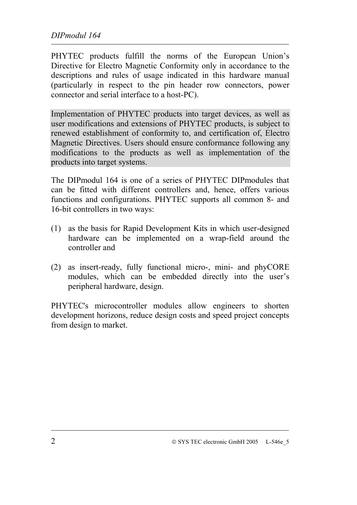PHYTEC products fulfill the norms of the European Union's Directive for Electro Magnetic Conformity only in accordance to the descriptions and rules of usage indicated in this hardware manual (particularly in respect to the pin header row connectors, power connector and serial interface to a host-PC).

Implementation of PHYTEC products into target devices, as well as user modifications and extensions of PHYTEC products, is subject to renewed establishment of conformity to, and certification of, Electro Magnetic Directives. Users should ensure conformance following any modifications to the products as well as implementation of the products into target systems.

The DIPmodul 164 is one of a series of PHYTEC DIPmodules that can be fitted with different controllers and, hence, offers various functions and configurations. PHYTEC supports all common 8- and 16-bit controllers in two ways:

- (1) as the basis for Rapid Development Kits in which user-designed hardware can be implemented on a wrap-field around the controller and
- (2) as insert-ready, fully functional micro-, mini- and phyCORE modules, which can be embedded directly into the user's peripheral hardware, design.

PHYTEC's microcontroller modules allow engineers to shorten development horizons, reduce design costs and speed project concepts from design to market.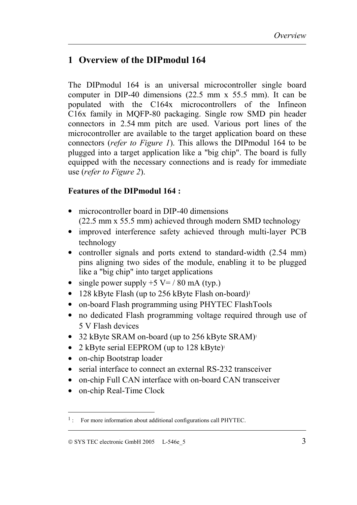## <span id="page-6-0"></span>**1 Overview of the DIPmodul 164**

The DIPmodul 164 is an universal microcontroller single board computer in DIP-40 dimensions (22.5 mm x 55.5 mm). It can be populated with the C164x microcontrollers of the Infineon C16x family in MQFP-80 packaging. Single row SMD pin header connectors in 2.54 mm pitch are used. Various port lines of the microcontroller are available to the target application board on these connectors (*refer to [Figure 1](#page-7-0)*). This allows the DIPmodul 164 to be plugged into a target application like a "big chip". The board is fully equipped with the necessary connections and is ready for immediate use (*refer to [Figure 2](#page-8-0)*).

#### **Features of the DIPmodul 164 :**

- microcontroller board in DIP-40 dimensions (22.5 mm x 55.5 mm) achieved through modern SMD technology
- improved interference safety achieved through multi-layer PCB technology
- controller signals and ports extend to standard-width (2.54 mm) pins aligning two sides of the module, enabling it to be plugged like a "big chip" into target applications
- single power supply  $+5$  V= / 80 mA (typ.)
- 128 kByte Flash (up to 256 kByte Flash on-board)<sup>1</sup>
- on-board Flash programming using PHYTEC FlashTools
- no dedicated Flash programming voltage required through use of 5 V Flash devices
- 32 kByte SRAM on-board (up to 256 kByte SRAM)<sup>1</sup>
- 2 kByte serial EEPROM (up to  $128 \text{ kByte}$ )
- on-chip Bootstrap loader
- serial interface to connect an external RS-232 transceiver
- on-chip Full CAN interface with on-board CAN transceiver
- on-chip Real-Time Clock

 $\overline{a}$ 

<sup>&</sup>lt;sup>1</sup>: For more information about additional configurations call PHYTEC.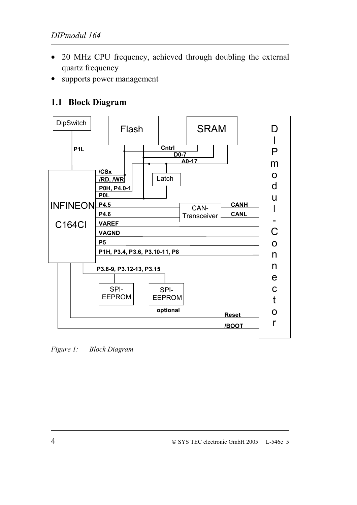- <span id="page-7-0"></span>• 20 MHz CPU frequency, achieved through doubling the external quartz frequency
- supports power management

## **1.1 Block Diagram**



*Figure 1: Block Diagram*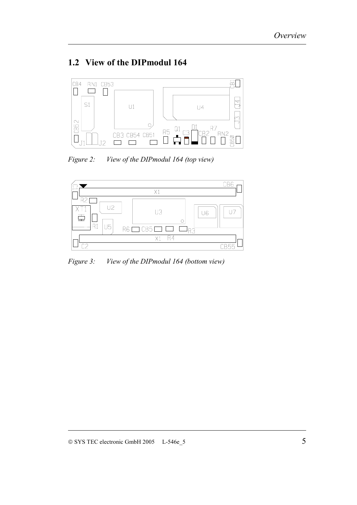## <span id="page-8-0"></span>**1.2 View of the DIPmodul 164**



*Figure 2: View of the DIPmodul 164 (top view)*



*Figure 3: View of the DIPmodul 164 (bottom view)*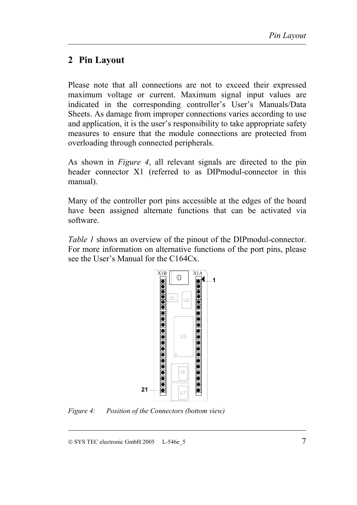## <span id="page-10-0"></span>**2 Pin Layout**

Please note that all connections are not to exceed their expressed maximum voltage or current. Maximum signal input values are indicated in the corresponding controller's User's Manuals/Data Sheets. As damage from improper connections varies according to use and application, it is the user's responsibility to take appropriate safety measures to ensure that the module connections are protected from overloading through connected peripherals.

As shown in *Figure 4*, all relevant signals are directed to the pin header connector X1 (referred to as DIPmodul-connector in this manual).

Many of the controller port pins accessible at the edges of the board have been assigned alternate functions that can be activated via software.

*[Table 1](#page-11-0)* shows an overview of the pinout of the DIPmodul-connector. For more information on alternative functions of the port pins, please see the User's Manual for the C164Cx.



*Figure 4: Position of the Connectors (bottom view)*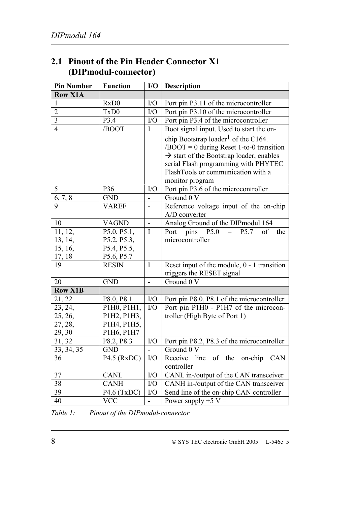<span id="page-11-0"></span>

| 2.1 Pinout of the Pin Header Connector X1 |
|-------------------------------------------|
| (DIPmodul-connector)                      |

| <b>Pin Number</b> | <b>Function</b>               | $\mathbf{I}/\mathbf{O}$ | <b>Description</b>                                     |
|-------------------|-------------------------------|-------------------------|--------------------------------------------------------|
| <b>Row X1A</b>    |                               |                         |                                                        |
| $\mathbf{1}$      | R <sub>x</sub> D <sub>0</sub> | I/O                     | Port pin P3.11 of the microcontroller                  |
| $\overline{2}$    | TxD0                          | I/O                     | Port pin P3.10 of the microcontroller                  |
| $\overline{3}$    | P3.4                          | I/O                     | Port pin P3.4 of the microcontroller                   |
| $\overline{4}$    | /BOOT                         | I                       | Boot signal input. Used to start the on-               |
|                   |                               |                         | chip Bootstrap loader <sup>1</sup> of the C164.        |
|                   |                               |                         | $/BOOT = 0$ during Reset 1-to-0 transition             |
|                   |                               |                         | $\rightarrow$ start of the Bootstrap loader, enables   |
|                   |                               |                         | serial Flash programming with PHYTEC                   |
|                   |                               |                         | FlashTools or communication with a                     |
|                   |                               |                         | monitor program                                        |
| 5                 | P36                           | I/O                     | Port pin P3.6 of the microcontroller                   |
| 6, 7, 8           | <b>GND</b>                    | $\overline{a}$          | Ground 0 V                                             |
| 9                 | <b>VAREF</b>                  | $\overline{a}$          | Reference voltage input of the on-chip                 |
|                   |                               |                         | A/D converter                                          |
| 10                | <b>VAGND</b>                  | $\overline{a}$          | Analog Ground of the DIPmodul 164                      |
| 11, 12,           | P5.0, P5.1,                   | $\mathbf I$             | P5.0<br>$P5.7$ of<br>Port pins<br>the<br>$\frac{1}{2}$ |
| 13, 14,           | P5.2, P5.3,                   |                         | microcontroller                                        |
| 15, 16,           | P5.4, P5.5,                   |                         |                                                        |
| 17, 18            | P5.6, P5.7                    |                         |                                                        |
| 19                | <b>RESIN</b>                  | I                       | Reset input of the module, $0 - 1$ transition          |
|                   |                               |                         | triggers the RESET signal                              |
| 20                | <b>GND</b>                    | $\overline{a}$          | Ground 0 V                                             |
| <b>Row X1B</b>    |                               |                         |                                                        |
| 21, 22            | P8.0, P8.1                    | I/O                     | Port pin P8.0, P8.1 of the microcontroller             |
| 23, 24,           | P1H0, P1H1,                   | I/O                     | Port pin P1H0 - P1H7 of the microcon-                  |
| 25, 26,           | P1H2, P1H3,                   |                         | troller (High Byte of Port 1)                          |
| 27, 28,           | P1H4, P1H5,                   |                         |                                                        |
| 29, 30            | P1H6, P1H7                    |                         |                                                        |
| 31, 32            | P8.2, P8.3                    | $\rm I/O$               | Port pin P8.2, P8.3 of the microcontroller             |
| 33, 34, 35        | GND                           |                         | Ground 0 V                                             |
| 36                | $P4.5$ (RxDC)                 | $NO$                    | Receive line of the on-chip CAN<br>controller          |
| 37                | CANL                          | I/O                     | CANL in-/output of the CAN transceiver                 |
| 38                | <b>CANH</b>                   | $\rm I/O$               | CANH in-/output of the CAN transceiver                 |
| 39                | $P4.6$ (TxDC)                 | I/O                     | Send line of the on-chip CAN controller                |
| 40                | <b>VCC</b>                    | $\blacksquare$          | Power supply $+5$ V =                                  |

*Table 1: Pinout of the DIPmodul-connector*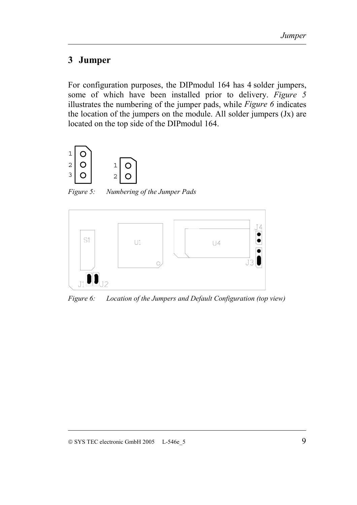## <span id="page-12-0"></span>**3 Jumper**

For configuration purposes, the DIPmodul 164 has 4 solder jumpers, some of which have been installed prior to delivery. *Figure 5* illustrates the numbering of the jumper pads, while *Figure 6* indicates the location of the jumpers on the module. All solder jumpers (Jx) are located on the top side of the DIPmodul 164.



*Figure 5: Numbering of the Jumper Pads*



*Figure 6: Location of the Jumpers and Default Configuration (top view)*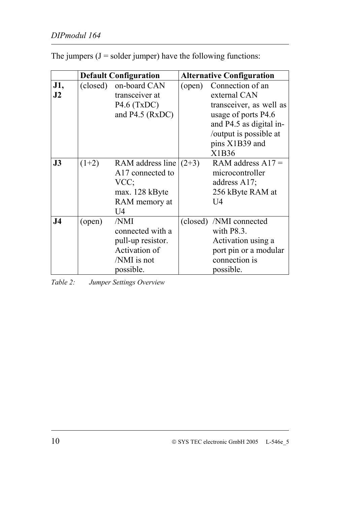|                |          | <b>Default Configuration</b> |        | <b>Alternative Configuration</b> |  |  |  |
|----------------|----------|------------------------------|--------|----------------------------------|--|--|--|
| J1,            | (closed) | on-board CAN                 | (open) | Connection of an                 |  |  |  |
| J2             |          | transceiver at               |        | external CAN                     |  |  |  |
|                |          | $P4.6$ (TxDC)                |        | transceiver, as well as          |  |  |  |
|                |          | and P4.5 (RxDC)              |        | usage of ports P4.6              |  |  |  |
|                |          |                              |        | and P4.5 as digital in-          |  |  |  |
|                |          |                              |        | /output is possible at           |  |  |  |
|                |          |                              |        | pins X1B39 and                   |  |  |  |
|                |          |                              |        | X1B36                            |  |  |  |
| J3             | $(1+2)$  | RAM address line $(2+3)$     |        | RAM address $A17 =$              |  |  |  |
|                |          | A17 connected to             |        | microcontroller                  |  |  |  |
|                |          | VCC;                         |        | address $A17$ ;                  |  |  |  |
|                |          | max. 128 kByte               |        | 256 kByte RAM at                 |  |  |  |
|                |          | RAM memory at                |        | U4                               |  |  |  |
|                |          | U4                           |        |                                  |  |  |  |
| J <sub>4</sub> | (open)   | /NMI                         |        | (closed) /NMI connected          |  |  |  |
|                |          | connected with a             |        | with $P8.3$ .                    |  |  |  |
|                |          | pull-up resistor.            |        | Activation using a               |  |  |  |
|                |          | Activation of                |        | port pin or a modular            |  |  |  |
|                |          | /NMI is not                  |        | connection is                    |  |  |  |
|                |          | possible.                    |        | possible.                        |  |  |  |

<span id="page-13-0"></span>The jumpers  $(J = s$ older jumper) have the following functions:

*Table 2: Jumper Settings Overview*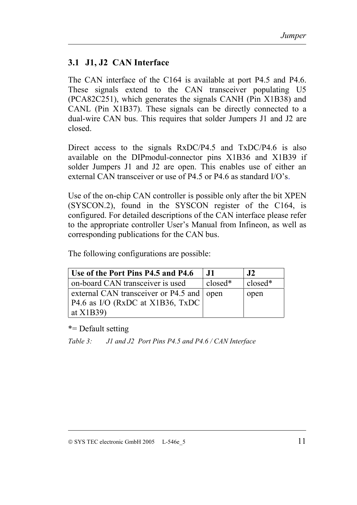## <span id="page-14-0"></span>**3.1 J1, J2 CAN Interface**

The CAN interface of the C164 is available at port P4.5 and P4.6. These signals extend to the CAN transceiver populating U5 (PCA82C251), which generates the signals CANH (Pin X1B38) and CANL (Pin X1B37). These signals can be directly connected to a dual-wire CAN bus. This requires that solder Jumpers J1 and J2 are closed.

Direct access to the signals RxDC/P4.5 and TxDC/P4.6 is also available on the DIPmodul-connector pins X1B36 and X1B39 if solder Jumpers J1 and J2 are open. This enables use of either an external CAN transceiver or use of P4.5 or P4.6 as standard I/O's.

Use of the on-chip CAN controller is possible only after the bit XPEN (SYSCON.2), found in the SYSCON register of the C164, is configured. For detailed descriptions of the CAN interface please refer to the appropriate controller User's Manual from Infineon, as well as corresponding publications for the CAN bus.

The following configurations are possible:

| Use of the Port Pins P4.5 and P4.6        | J1        | J2      |
|-------------------------------------------|-----------|---------|
| on-board CAN transceiver is used          | $closed*$ | closed* |
| external CAN transceiver or P4.5 and open |           | open    |
| P4.6 as I/O (RxDC at X1B36, TxDC)         |           |         |
| at $X1B39$                                |           |         |

\*= Default setting

*Table 3: J1 and J2 Port Pins P4.5 and P4.6 / CAN Interface*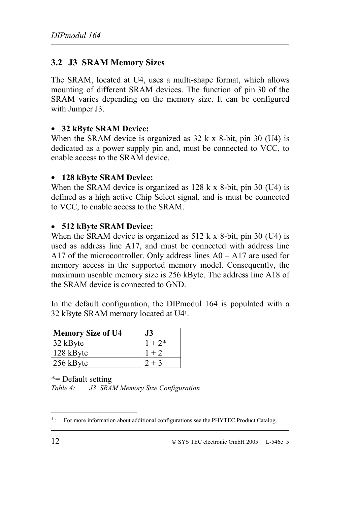## <span id="page-15-0"></span>**3.2 J3 SRAM Memory Sizes**

The SRAM, located at U4, uses a multi-shape format, which allows mounting of different SRAM devices. The function of pin 30 of the SRAM varies depending on the memory size. It can be configured with Jumper J3.

#### • **32 kByte SRAM Device:**

When the SRAM device is organized as  $32 \text{ k} \times 8$ -bit, pin 30 (U4) is dedicated as a power supply pin and, must be connected to VCC, to enable access to the SRAM device.

#### • **128 kByte SRAM Device:**

When the SRAM device is organized as 128 k x 8-bit, pin 30 (U4) is defined as a high active Chip Select signal, and is must be connected to VCC, to enable access to the SRAM.

#### • **512 kByte SRAM Device:**

When the SRAM device is organized as 512 k x 8-bit, pin 30 (U4) is used as address line A17, and must be connected with address line A17 of the microcontroller. Only address lines  $A0 - A17$  are used for memory access in the supported memory model. Consequently, the maximum useable memory size is 256 kByte. The address line A18 of the SRAM device is connected to GND.

In the default configuration, the DIPmodul 164 is populated with a 32 kByte SRAM memory located at U41.

| <b>Memory Size of U4</b> | J3        |
|--------------------------|-----------|
| $32$ kByte               | $1 + 2^*$ |
| $128$ kByte              | $1 + 2$   |
| $256$ kByte              | $2 + 3$   |

\*= Default setting *Table 4: J3 SRAM Memory Size Configuration*

 $\overline{a}$ 

<sup>&</sup>lt;sup>1</sup>: For more information about additional configurations see the PHYTEC Product Catalog.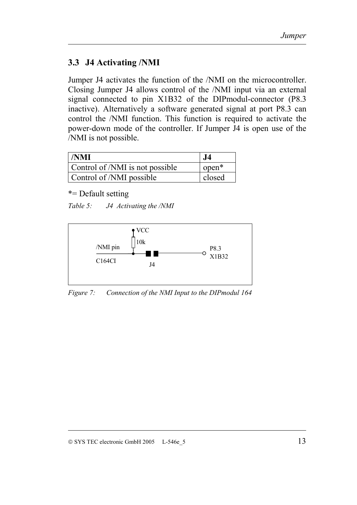## <span id="page-16-0"></span>**3.3 J4 Activating /NMI**

Jumper J4 activates the function of the /NMI on the microcontroller. Closing Jumper J4 allows control of the /NMI input via an external signal connected to pin X1B32 of the DIPmodul-connector (P8.3 inactive). Alternatively a software generated signal at port P8.3 can control the /NMI function. This function is required to activate the power-down mode of the controller. If Jumper J4 is open use of the /NMI is not possible.

| $\blacksquare/\text{NMI}$       | $\bf J4$ |
|---------------------------------|----------|
| Control of /NMI is not possible | $open^*$ |
| Control of /NMI possible        | closed   |

\*= Default setting

| Table 5: | J4 Activating the /NMI |  |
|----------|------------------------|--|
|          |                        |  |



*Figure 7: Connection of the NMI Input to the DIPmodul 164*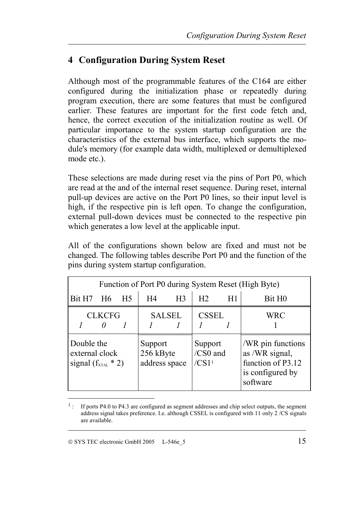# <span id="page-18-0"></span>**4 Configuration During System Reset**

Although most of the programmable features of the C164 are either configured during the initialization phase or repeatedly during program execution, there are some features that must be configured earlier. These features are important for the first code fetch and, hence, the correct execution of the initialization routine as well. Of particular importance to the system startup configuration are the characteristics of the external bus interface, which supports the module's memory (for example data width, multiplexed or demultiplexed mode etc.).

These selections are made during reset via the pins of Port P0, which are read at the and of the internal reset sequence. During reset, internal pull-up devices are active on the Port P0 lines, so their input level is high, if the respective pin is left open. To change the configuration, external pull-down devices must be connected to the respective pin which generates a low level at the applicable input.

All of the configurations shown below are fixed and must not be changed. The following tables describe Port P0 and the function of the pins during system startup configuration.

| Function of Port P0 during System Reset (High Byte)            |                    |                                       |    |                              |                |                                                                                          |                    |  |
|----------------------------------------------------------------|--------------------|---------------------------------------|----|------------------------------|----------------|------------------------------------------------------------------------------------------|--------------------|--|
| Bit H <sub>7</sub>                                             | - H6               | H <sub>5</sub>                        | H4 | H <sub>3</sub>               | H <sub>2</sub> | H1                                                                                       | Bit H <sub>0</sub> |  |
|                                                                | <b>CLKCFG</b><br>0 |                                       |    | <b>SALSEL</b>                | <b>CSSEL</b>   |                                                                                          | <b>WRC</b>         |  |
| Double the<br>external clock<br>signal $(f_{\text{XTAL}} * 2)$ |                    | Support<br>256 kByte<br>address space |    | Support<br>/CS0 and<br>/CS11 |                | /WR pin functions<br>as /WR signal,<br>function of P3.12<br>is configured by<br>software |                    |  |

 <sup>1</sup>: If ports P4.0 to P4.3 are configured as segment addresses and chip select outputs, the segment address signal takes preference. I.e. although CSSEL is configured with 11 only 2 /CS signals are available.

l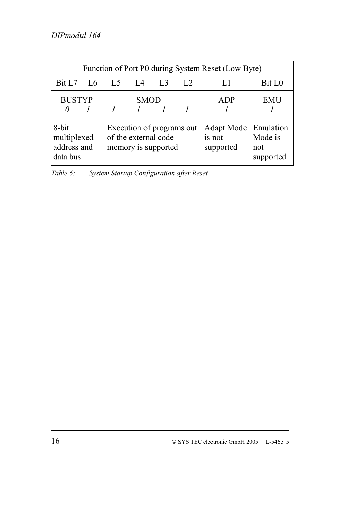<span id="page-19-0"></span>

|                                                 | Function of Port P0 during System Reset (Low Byte) |                |                                                                          |                |                |                                          |                                          |
|-------------------------------------------------|----------------------------------------------------|----------------|--------------------------------------------------------------------------|----------------|----------------|------------------------------------------|------------------------------------------|
| Bit L7                                          | L6                                                 | L <sub>5</sub> | IA                                                                       | L <sub>3</sub> | L <sub>2</sub> | L1                                       | Bit L <sub>0</sub>                       |
| <b>BUSTYP</b>                                   |                                                    |                | <b>SMOD</b>                                                              |                |                | <b>ADP</b>                               | <b>EMU</b>                               |
| 8-bit<br>multiplexed<br>address and<br>data bus |                                                    |                | Execution of programs out<br>of the external code<br>memory is supported |                |                | <b>Adapt Mode</b><br>is not<br>supported | Emulation<br>Mode is<br>not<br>supported |

*Table 6: System Startup Configuration after Reset*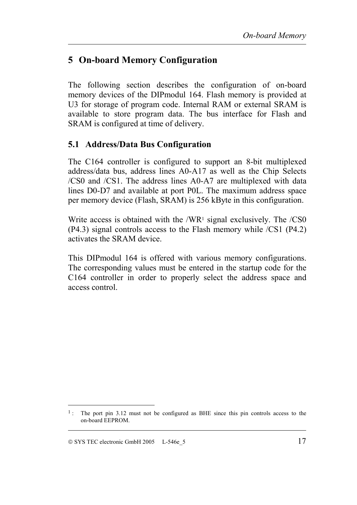# <span id="page-20-0"></span>**5 On-board Memory Configuration**

The following section describes the configuration of on-board memory devices of the DIPmodul 164. Flash memory is provided at U3 for storage of program code. Internal RAM or external SRAM is available to store program data. The bus interface for Flash and SRAM is configured at time of delivery.

## **5.1 Address/Data Bus Configuration**

The C164 controller is configured to support an 8-bit multiplexed address/data bus, address lines A0-A17 as well as the Chip Selects /CS0 and /CS1. The address lines A0-A7 are multiplexed with data lines D0-D7 and available at port P0L. The maximum address space per memory device (Flash, SRAM) is 256 kByte in this configuration.

Write access is obtained with the /WR<sup>1</sup> signal exclusively. The /CS0 (P4.3) signal controls access to the Flash memory while /CS1 (P4.2) activates the SRAM device.

This DIPmodul 164 is offered with various memory configurations. The corresponding values must be entered in the startup code for the C164 controller in order to properly select the address space and access control.

 $\overline{a}$ 

 <sup>1</sup>: The port pin 3.12 must not be configured as BHE since this pin controls access to the on-board EEPROM.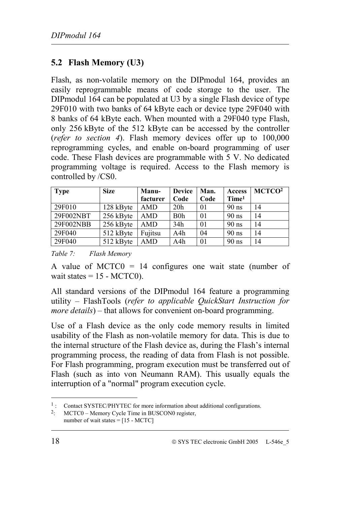## <span id="page-21-0"></span>**5.2 Flash Memory (U3)**

Flash, as non-volatile memory on the DIPmodul 164, provides an easily reprogrammable means of code storage to the user. The DIPmodul 164 can be populated at U3 by a single Flash device of type 29F010 with two banks of 64 kByte each or device type 29F040 with 8 banks of 64 kByte each. When mounted with a 29F040 type Flash, only 256 kByte of the 512 kByte can be accessed by the controller (*refer to section [4](#page-18-0)*). Flash memory devices offer up to 100,000 reprogramming cycles, and enable on-board programming of user code. These Flash devices are programmable with 5 V. No dedicated programming voltage is required. Access to the Flash memory is controlled by /CS0.

| <b>Type</b> | <b>Size</b> | <b>Manu-</b> | <b>Device</b>    | Man. | Access            | MCTCO <sup>2</sup> |
|-------------|-------------|--------------|------------------|------|-------------------|--------------------|
|             |             | facturer     | Code             | Code | Time <sup>1</sup> |                    |
| 29F010      | 128 kByte   | <b>AMD</b>   | 20 <sub>h</sub>  | 01   | $90$ ns           | 14                 |
| 29F002NBT   | 256 kByte   | AMD          | B <sub>0</sub> h | 01   | $90$ ns           | 14                 |
| 29F002NBB   | 256 kByte   | <b>AMD</b>   | 34h              | 01   | $90$ ns           | 14                 |
| 29F040      | 512 kByte   | Fujitsu      | A4h              | 04   | $90$ ns           | 14                 |
| 29F040      | 512 kByte   | AMD          | A4h              | 01   | $90$ ns           | 14                 |

#### *Table 7: Flash Memory*

A value of MCTC0 = 14 configures one wait state (number of wait states  $= 15 - MCTCO$ .

All standard versions of the DIPmodul 164 feature a programming utility – FlashTools (*refer to applicable QuickStart Instruction for more details*) – that allows for convenient on-board programming.

Use of a Flash device as the only code memory results in limited usability of the Flash as non-volatile memory for data. This is due to the internal structure of the Flash device as, during the Flash's internal programming process, the reading of data from Flash is not possible. For Flash programming, program execution must be transferred out of Flash (such as into von Neumann RAM). This usually equals the interruption of a "normal" program execution cycle.

l

<sup>&</sup>lt;sup>1</sup>: Contact SYSTEC/PHYTEC for more information about additional configurations.

<sup>2:</sup> MCTC0 – Memory Cycle Time in BUSCON0 register, number of wait states  $= [15 - MCTC]$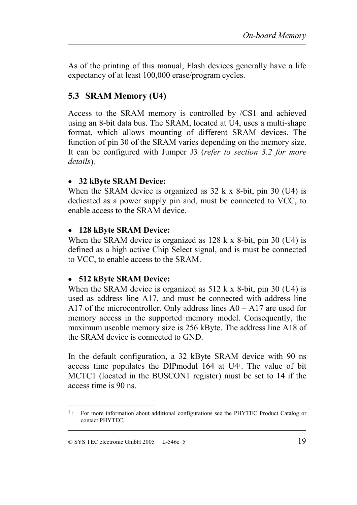<span id="page-22-0"></span>As of the printing of this manual, Flash devices generally have a life expectancy of at least 100,000 erase/program cycles.

## **5.3 SRAM Memory (U4)**

Access to the SRAM memory is controlled by /CS1 and achieved using an 8-bit data bus. The SRAM, located at U4, uses a multi-shape format, which allows mounting of different SRAM devices. The function of pin 30 of the SRAM varies depending on the memory size. It can be configured with Jumper J3 (*refer to section [3.2](#page-15-0) for more details*).

#### • **32 kByte SRAM Device:**

When the SRAM device is organized as 32 k x 8-bit, pin 30 (U4) is dedicated as a power supply pin and, must be connected to VCC, to enable access to the SRAM device.

#### • **128 kByte SRAM Device:**

When the SRAM device is organized as 128 k x 8-bit, pin 30 (U4) is defined as a high active Chip Select signal, and is must be connected to VCC, to enable access to the SRAM.

#### • **512 kByte SRAM Device:**

When the SRAM device is organized as 512 k x 8-bit, pin 30 (U4) is used as address line A17, and must be connected with address line A17 of the microcontroller. Only address lines A0 – A17 are used for memory access in the supported memory model. Consequently, the maximum useable memory size is 256 kByte. The address line A18 of the SRAM device is connected to GND.

In the default configuration, a 32 kByte SRAM device with 90 ns access time populates the DIPmodul 164 at U41. The value of bit MCTC1 (located in the BUSCON1 register) must be set to 14 if the access time is 90 ns.

 $\overline{a}$ 

 <sup>1</sup>: For more information about additional configurations see the PHYTEC Product Catalog or contact PHYTEC.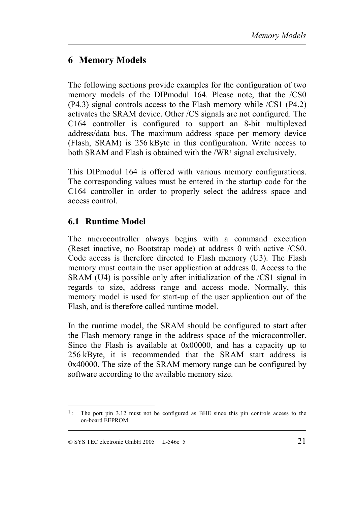## <span id="page-24-0"></span>**6 Memory Models**

The following sections provide examples for the configuration of two memory models of the DIPmodul 164. Please note, that the /CS0 (P4.3) signal controls access to the Flash memory while /CS1 (P4.2) activates the SRAM device. Other /CS signals are not configured. The C164 controller is configured to support an 8-bit multiplexed address/data bus. The maximum address space per memory device (Flash, SRAM) is 256 kByte in this configuration. Write access to both SRAM and Flash is obtained with the /WR1 signal exclusively.

This DIPmodul 164 is offered with various memory configurations. The corresponding values must be entered in the startup code for the C164 controller in order to properly select the address space and access control.

## **6.1 Runtime Model**

The microcontroller always begins with a command execution (Reset inactive, no Bootstrap mode) at address 0 with active /CS0. Code access is therefore directed to Flash memory (U3). The Flash memory must contain the user application at address 0. Access to the SRAM (U4) is possible only after initialization of the /CS1 signal in regards to size, address range and access mode. Normally, this memory model is used for start-up of the user application out of the Flash, and is therefore called runtime model.

In the runtime model, the SRAM should be configured to start after the Flash memory range in the address space of the microcontroller. Since the Flash is available at 0x00000, and has a capacity up to 256 kByte, it is recommended that the SRAM start address is 0x40000. The size of the SRAM memory range can be configured by software according to the available memory size.

 $\overline{a}$ 

 <sup>1</sup>: The port pin 3.12 must not be configured as BHE since this pin controls access to the on-board EEPROM.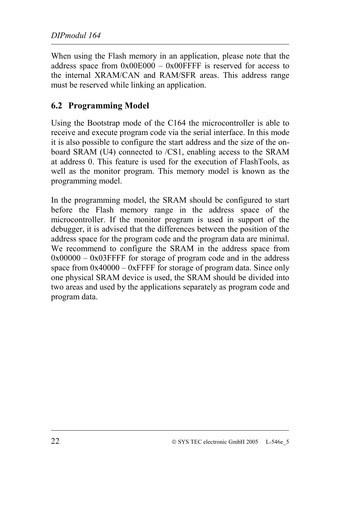<span id="page-25-0"></span>When using the Flash memory in an application, please note that the address space from  $0x00E000 - 0x00$ FFFF is reserved for access to the internal XRAM/CAN and RAM/SFR areas. This address range must be reserved while linking an application.

## **6.2 Programming Model**

Using the Bootstrap mode of the C164 the microcontroller is able to receive and execute program code via the serial interface. In this mode it is also possible to configure the start address and the size of the onboard SRAM (U4) connected to /CS1, enabling access to the SRAM at address 0. This feature is used for the execution of FlashTools, as well as the monitor program. This memory model is known as the programming model.

In the programming model, the SRAM should be configured to start before the Flash memory range in the address space of the microcontroller. If the monitor program is used in support of the debugger, it is advised that the differences between the position of the address space for the program code and the program data are minimal. We recommend to configure the SRAM in the address space from  $0x00000 - 0x03$  FFFF for storage of program code and in the address space from 0x40000 – 0xFFFF for storage of program data. Since only one physical SRAM device is used, the SRAM should be divided into two areas and used by the applications separately as program code and program data.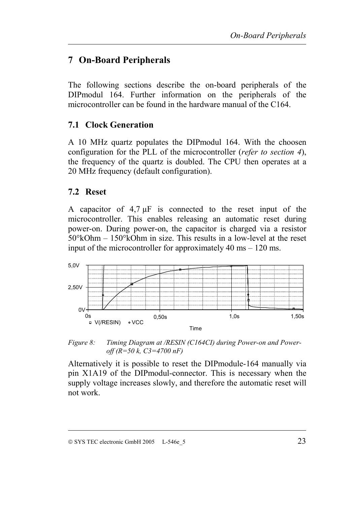## <span id="page-26-0"></span>**7 On-Board Peripherals**

The following sections describe the on-board peripherals of the DIPmodul 164. Further information on the peripherals of the microcontroller can be found in the hardware manual of the C164.

## **7.1 Clock Generation**

A 10 MHz quartz populates the DIPmodul 164. With the choosen configuration for the PLL of the microcontroller (*refer to section [4](#page-18-0)*), the frequency of the quartz is doubled. The CPU then operates at a 20 MHz frequency (default configuration).

#### **7.2 Reset**

A capacitor of  $4.7 \mu$ F is connected to the reset input of the microcontroller. This enables releasing an automatic reset during power-on. During power-on, the capacitor is charged via a resistor 50°kOhm – 150°kOhm in size. This results in a low-level at the reset input of the microcontroller for approximately 40 ms – 120 ms.



*Figure 8: Timing Diagram at /RESIN (C164CI) during Power-on and Poweroff (R=50 k, C3=4700 nF)*

Alternatively it is possible to reset the DIPmodule-164 manually via pin X1A19 of the DIPmodul-connector. This is necessary when the supply voltage increases slowly, and therefore the automatic reset will not work.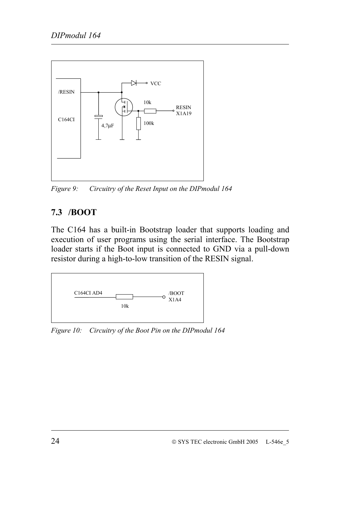<span id="page-27-0"></span>

*Figure 9: Circuitry of the Reset Input on the DIPmodul 164*

## **7.3 /BOOT**

The C164 has a built-in Bootstrap loader that supports loading and execution of user programs using the serial interface. The Bootstrap loader starts if the Boot input is connected to GND via a pull-down resistor during a high-to-low transition of the RESIN signal.



*Figure 10: Circuitry of the Boot Pin on the DIPmodul 164*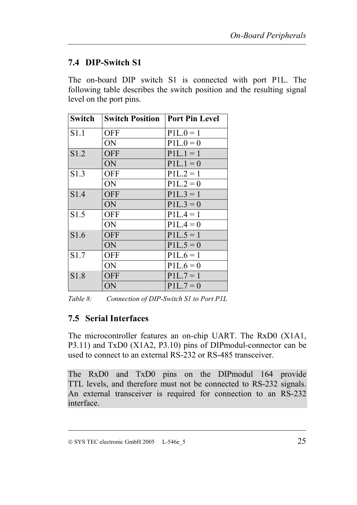## <span id="page-28-0"></span>**7.4 DIP-Switch S1**

The on-board DIP switch S1 is connected with port P1L. The following table describes the switch position and the resulting signal level on the port pins.

| <b>Switch</b> | <b>Switch Position</b> | <b>Port Pin Level</b> |
|---------------|------------------------|-----------------------|
| S1.1          | <b>OFF</b>             | $P1L.0 = 1$           |
|               | ON                     | $P1L.0 = 0$           |
| S1.2          | <b>OFF</b>             | $P1L.1 = 1$           |
|               | ON                     | $P1L.1 = 0$           |
| S1.3          | <b>OFF</b>             | $P1L.2 = 1$           |
|               | ON                     | $P1L.2 = 0$           |
| S1.4          | <b>OFF</b>             | $P1L.3 = 1$           |
|               | ON                     | $P1L.3 = 0$           |
| S1.5          | <b>OFF</b>             | $P1L.4 = 1$           |
|               | ON                     | $P1L.4 = 0$           |
| S1.6          | <b>OFF</b>             | $P1L.5 = 1$           |
|               | ON                     | $P1L.5=0$             |
| S1.7          | <b>OFF</b>             | $P1L.6 = 1$           |
|               | ON                     | $P1L.6=0$             |
| S1.8          | <b>OFF</b>             | $P1L.7 = 1$           |
|               | ON                     | $P1L.7=0$             |

*Table 8: Connection of DIP-Switch S1 to Port P1L*

## **7.5 Serial Interfaces**

The microcontroller features an on-chip UART. The RxD0 (X1A1, P3.11) and TxD0 (X1A2, P3.10) pins of DIPmodul-connector can be used to connect to an external RS-232 or RS-485 transceiver.

The RxD0 and TxD0 pins on the DIPmodul 164 provide TTL levels, and therefore must not be connected to RS-232 signals. An external transceiver is required for connection to an RS-232 interface.

SYS TEC electronic GmbH 2005 L-546e\_5 25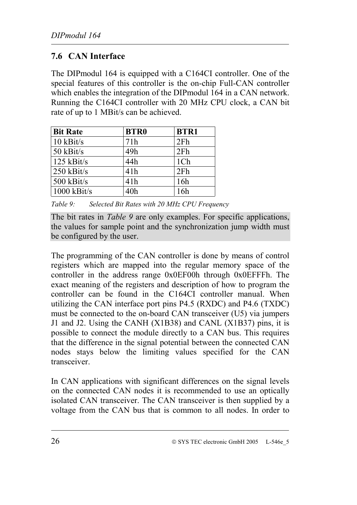## <span id="page-29-0"></span>**7.6 CAN Interface**

The DIPmodul 164 is equipped with a C164CI controller. One of the special features of this controller is the on-chip Full-CAN controller which enables the integration of the DIPmodul 164 in a CAN network. Running the C164CI controller with 20 MHz CPU clock, a CAN bit rate of up to 1 MBit/s can be achieved.

| <b>Bit Rate</b> | <b>BTR0</b> | <b>BTR1</b> |
|-----------------|-------------|-------------|
| $10$ kBit/s     | 71h         | 2Fh         |
| 50 kBit/s       | 49h         | 2Fh         |
| $125$ kBit/s    | 44h         | 1Ch         |
| $250$ kBit/s    | 41h         | 2Fh         |
| $500$ kBit/s    | 41h         | 16h         |
| $1000$ kBit/s   | 40h         | 16h         |

*Table 9: Selected Bit Rates with 20 MHz CPU Frequency*

The bit rates in *Table 9* are only examples. For specific applications, the values for sample point and the synchronization jump width must be configured by the user.

The programming of the CAN controller is done by means of control registers which are mapped into the regular memory space of the controller in the address range 0x0EF00h through 0x0EFFFh. The exact meaning of the registers and description of how to program the controller can be found in the C164CI controller manual. When utilizing the CAN interface port pins P4.5 (RXDC) and P4.6 (TXDC) must be connected to the on-board CAN transceiver (U5) via jumpers J1 and J2. Using the CANH (X1B38) and CANL (X1B37) pins, it is possible to connect the module directly to a CAN bus. This requires that the difference in the signal potential between the connected CAN nodes stays below the limiting values specified for the CAN transceiver.

In CAN applications with significant differences on the signal levels on the connected CAN nodes it is recommended to use an optically isolated CAN transceiver. The CAN transceiver is then supplied by a voltage from the CAN bus that is common to all nodes. In order to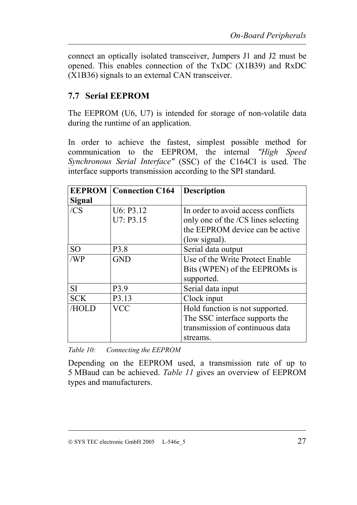<span id="page-30-0"></span>connect an optically isolated transceiver, Jumpers J1 and J2 must be opened. This enables connection of the TxDC (X1B39) and RxDC (X1B36) signals to an external CAN transceiver.

## **7.7 Serial EEPROM**

The EEPROM (U6, U7) is intended for storage of non-volatile data during the runtime of an application.

In order to achieve the fastest, simplest possible method for communication to the EEPROM, the internal *"High Speed Synchronous Serial Interface"* (SSC) of the C164CI is used. The interface supports transmission according to the SPI standard.

|               | <b>EEPROM</b> Connection C164 | <b>Description</b>                  |
|---------------|-------------------------------|-------------------------------------|
| <b>Signal</b> |                               |                                     |
| /CS           | U6: P3.12                     | In order to avoid access conflicts  |
|               | U7: P3.15                     | only one of the /CS lines selecting |
|               |                               | the EEPROM device can be active     |
|               |                               | (low signal).                       |
| <b>SO</b>     | P <sub>3.8</sub>              | Serial data output                  |
| /WP           | <b>GND</b>                    | Use of the Write Protect Enable     |
|               |                               | Bits (WPEN) of the EEPROMs is       |
|               |                               | supported.                          |
| <b>SI</b>     | P3.9                          | Serial data input                   |
| <b>SCK</b>    | P3.13                         | Clock input                         |
| /HOLD         | <b>VCC</b>                    | Hold function is not supported.     |
|               |                               | The SSC interface supports the      |
|               |                               | transmission of continuous data     |
|               |                               | streams.                            |

*Table 10: Connecting the EEPROM*

Depending on the EEPROM used, a transmission rate of up to 5 MBaud can be achieved. *[Table 11](#page-31-0)* gives an overview of EEPROM types and manufacturers.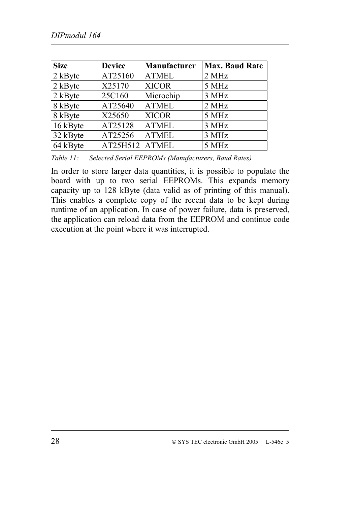<span id="page-31-0"></span>

| <b>Size</b> | <b>Device</b>  | Manufacturer | <b>Max. Baud Rate</b> |
|-------------|----------------|--------------|-----------------------|
| 2 kByte     | AT25160        | <b>ATMEL</b> | 2 MHz                 |
| 2 kByte     | X25170         | <b>XICOR</b> | 5 MHz                 |
| 2 kByte     | 25C160         | Microchip    | 3 MHz                 |
| 8 kByte     | AT25640        | <b>ATMEL</b> | 2 MHz                 |
| 8 kByte     | X25650         | <b>XICOR</b> | 5 MHz                 |
| 16 kByte    | AT25128        | <b>ATMEL</b> | 3 MHz                 |
| 32 kByte    | AT25256        | <b>ATMEL</b> | 3 MHz                 |
| 64 kByte    | AT25H512 ATMEL |              | 5 MHz                 |

*Table 11: Selected Serial EEPROMs (Manufacturers, Baud Rates)*

In order to store larger data quantities, it is possible to populate the board with up to two serial EEPROMs. This expands memory capacity up to 128 kByte (data valid as of printing of this manual). This enables a complete copy of the recent data to be kept during runtime of an application. In case of power failure, data is preserved, the application can reload data from the EEPROM and continue code execution at the point where it was interrupted.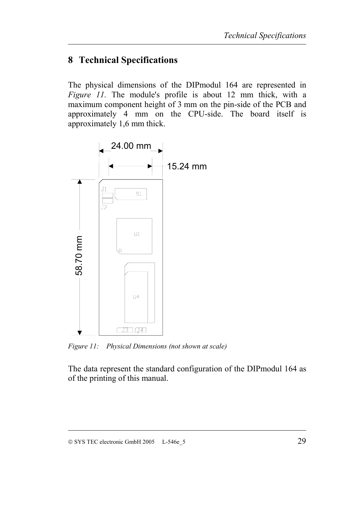## <span id="page-32-0"></span>**8 Technical Specifications**

The physical dimensions of the DIPmodul 164 are represented in *Figure 11.* The module's profile is about 12 mm thick, with a maximum component height of 3 mm on the pin-side of the PCB and approximately 4 mm on the CPU-side. The board itself is approximately 1,6 mm thick.



*Figure 11: Physical Dimensions (not shown at scale)*

The data represent the standard configuration of the DIPmodul 164 as of the printing of this manual.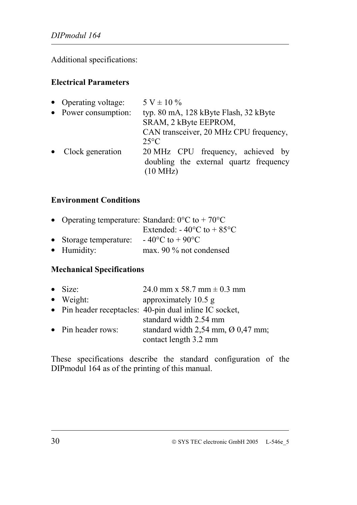Additional specifications:

#### **Electrical Parameters**

| • Operating voltage: | $5 V \pm 10 \%$                                                             |
|----------------------|-----------------------------------------------------------------------------|
| • Power consumption: | typ. 80 mA, 128 kByte Flash, 32 kByte                                       |
|                      | SRAM, 2 kByte EEPROM,                                                       |
|                      | CAN transceiver, 20 MHz CPU frequency,                                      |
|                      | $25^{\circ}$ C                                                              |
| • Clock generation   | 20 MHz CPU frequency, achieved by<br>doubling the external quartz frequency |
|                      | (10 MHz)                                                                    |

#### **Environment Conditions**

|                        | • Operating temperature: Standard: $0^{\circ}$ C to + 70 <sup>o</sup> C |
|------------------------|-------------------------------------------------------------------------|
|                        | Extended: $-40^{\circ}$ C to $+85^{\circ}$ C                            |
| • Storage temperature: | $-40^{\circ}$ C to $+90^{\circ}$ C                                      |
| • Humidity:            | max. 90 $\%$ not condensed                                              |

## **Mechanical Specifications**

| $\bullet$ Size:    | 24.0 mm x 58.7 mm $\pm$ 0.3 mm                                                                      |
|--------------------|-----------------------------------------------------------------------------------------------------|
| $\bullet$ Weight:  | approximately 10.5 g                                                                                |
|                    | • Pin header receptacles: 40-pin dual inline IC socket,                                             |
| • Pin header rows: | standard width 2.54 mm<br>standard width $2,54$ mm, $\varnothing$ 0,47 mm;<br>contact length 3.2 mm |

These specifications describe the standard configuration of the DIPmodul 164 as of the printing of this manual.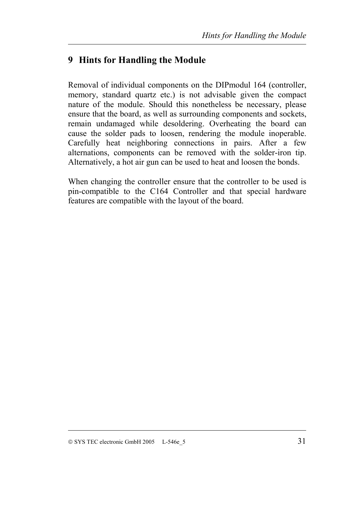## <span id="page-34-0"></span>**9 Hints for Handling the Module**

Removal of individual components on the DIPmodul 164 (controller, memory, standard quartz etc.) is not advisable given the compact nature of the module. Should this nonetheless be necessary, please ensure that the board, as well as surrounding components and sockets, remain undamaged while desoldering. Overheating the board can cause the solder pads to loosen, rendering the module inoperable. Carefully heat neighboring connections in pairs. After a few alternations, components can be removed with the solder-iron tip. Alternatively, a hot air gun can be used to heat and loosen the bonds.

When changing the controller ensure that the controller to be used is pin-compatible to the C164 Controller and that special hardware features are compatible with the layout of the board.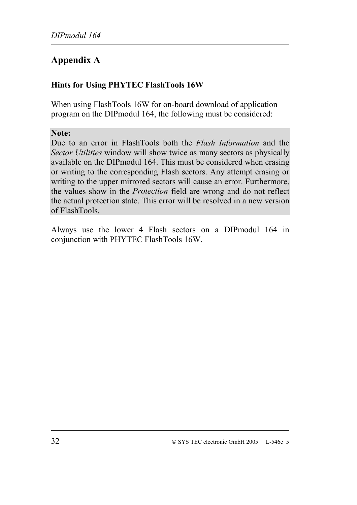# <span id="page-35-0"></span>**Appendix A**

## **Hints for Using PHYTEC FlashTools 16W**

When using FlashTools 16W for on-board download of application program on the DIPmodul 164, the following must be considered:

#### **Note:**

Due to an error in FlashTools both the *Flash Information* and the *Sector Utilities* window will show twice as many sectors as physically available on the DIPmodul 164. This must be considered when erasing or writing to the corresponding Flash sectors. Any attempt erasing or writing to the upper mirrored sectors will cause an error. Furthermore, the values show in the *Protection* field are wrong and do not reflect the actual protection state. This error will be resolved in a new version of FlashTools.

Always use the lower 4 Flash sectors on a DIPmodul 164 in conjunction with PHYTEC FlashTools 16W.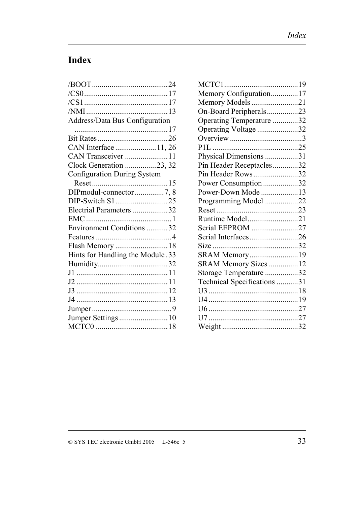# <span id="page-36-0"></span>**Index**

| Address/Data Bus Configuration     |  |
|------------------------------------|--|
|                                    |  |
|                                    |  |
| CAN Interface 11, 26               |  |
| CAN Transceiver 11                 |  |
| Clock Generation 23, 32            |  |
| <b>Configuration During System</b> |  |
|                                    |  |
| DIPmodul-connector7, 8             |  |
| DIP-Switch S125                    |  |
| Electrial Parameters 32            |  |
|                                    |  |
| Environment Conditions 32          |  |
|                                    |  |
|                                    |  |
| Hints for Handling the Module .33  |  |
|                                    |  |
|                                    |  |
|                                    |  |
|                                    |  |
|                                    |  |
|                                    |  |
| Jumper Settings 10                 |  |
|                                    |  |
|                                    |  |

| Memory Configuration17      |  |
|-----------------------------|--|
| Memory Models21             |  |
| On-Board Peripherals23      |  |
| Operating Temperature 32    |  |
| Operating Voltage 32        |  |
|                             |  |
|                             |  |
| Physical Dimensions 31      |  |
| Pin Header Receptacles32    |  |
| Pin Header Rows32           |  |
| Power Consumption32         |  |
| Power-Down Mode 13          |  |
| Programming Model 22        |  |
|                             |  |
| Runtime Model21             |  |
| Serial EEPROM 27            |  |
| Serial Interfaces26         |  |
|                             |  |
| SRAM Memory19               |  |
| SRAM Memory Sizes 12        |  |
| Storage Temperature 32      |  |
| Technical Specifications 31 |  |
|                             |  |
|                             |  |
|                             |  |
|                             |  |
|                             |  |
|                             |  |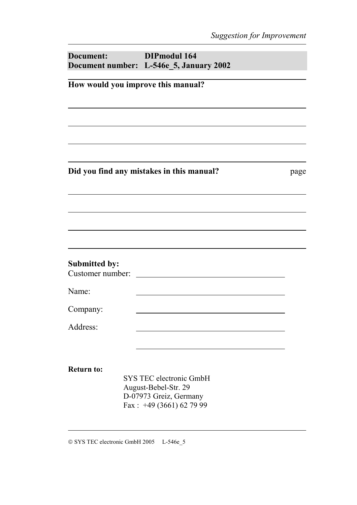| Document:                                | <b>DIPmodul 164</b><br>Document number: L-546e_5, January 2002 |      |  |  |
|------------------------------------------|----------------------------------------------------------------|------|--|--|
| How would you improve this manual?       |                                                                |      |  |  |
|                                          |                                                                |      |  |  |
|                                          |                                                                |      |  |  |
|                                          | Did you find any mistakes in this manual?                      | page |  |  |
|                                          |                                                                |      |  |  |
|                                          |                                                                |      |  |  |
| <b>Submitted by:</b><br>Customer number: |                                                                |      |  |  |
| Name:                                    |                                                                |      |  |  |
| Company:                                 |                                                                |      |  |  |
| Address:                                 |                                                                |      |  |  |
| <b>Return to:</b>                        | <b>SYS TEC electronic GmbH</b><br>August-Bebel-Str. 29         |      |  |  |
|                                          | D-07973 Greiz, Germany<br>Fax: $+49(3661)627999$               |      |  |  |